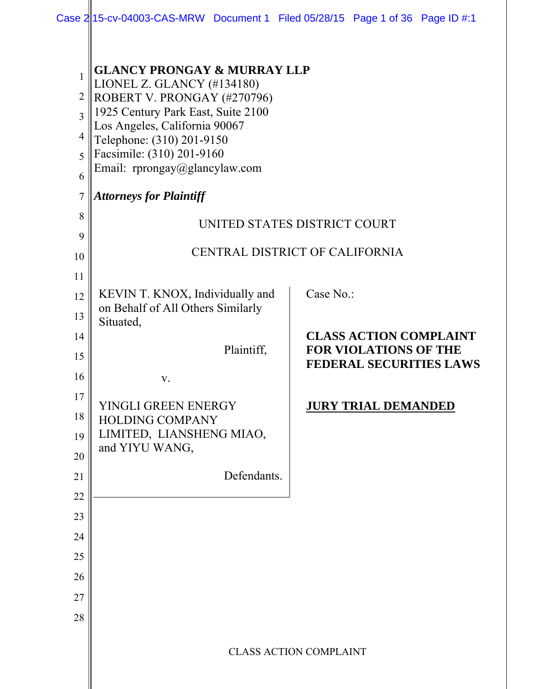| Case 2 15-cv-04003-CAS-MRW Document 1 Filed 05/28/15 Page 1 of 36 Page ID #:1 |  |  |  |  |  |
|-------------------------------------------------------------------------------|--|--|--|--|--|
|-------------------------------------------------------------------------------|--|--|--|--|--|

| 1                        | <b>GLANCY PRONGAY &amp; MURRAY LLP</b><br>LIONEL Z. GLANCY (#134180) |                                                                |  |
|--------------------------|----------------------------------------------------------------------|----------------------------------------------------------------|--|
| $\overline{2}$           | ROBERT V. PRONGAY (#270796)                                          |                                                                |  |
| $\overline{\mathcal{E}}$ | 1925 Century Park East, Suite 2100                                   |                                                                |  |
| 4                        | Los Angeles, California 90067<br>Telephone: (310) 201-9150           |                                                                |  |
| 5                        | Facsimile: (310) 201-9160                                            |                                                                |  |
| 6                        | Email: rprongay@glancylaw.com                                        |                                                                |  |
| 7                        | <b>Attorneys for Plaintiff</b>                                       |                                                                |  |
| 8                        |                                                                      | UNITED STATES DISTRICT COURT                                   |  |
| 9                        |                                                                      |                                                                |  |
| 10                       |                                                                      | CENTRAL DISTRICT OF CALIFORNIA                                 |  |
| 11                       |                                                                      |                                                                |  |
| 12                       | KEVIN T. KNOX, Individually and                                      | Case No.:                                                      |  |
| 13                       | on Behalf of All Others Similarly<br>Situated,                       |                                                                |  |
| 14                       |                                                                      | <b>CLASS ACTION COMPLAINT</b>                                  |  |
| 15                       | Plaintiff,                                                           | <b>FOR VIOLATIONS OF THE</b><br><b>FEDERAL SECURITIES LAWS</b> |  |
| 16                       | V.                                                                   |                                                                |  |
| 17                       | YINGLI GREEN ENERGY                                                  | <u>JURY TRIAL DEMANDED</u>                                     |  |
| 18                       | HOLDING COMPANY                                                      |                                                                |  |
| 19                       | LIMITED, LIANSHENG MIAO,                                             |                                                                |  |
| 20                       | and YIYU WANG,                                                       |                                                                |  |
| 21                       | Defendants.                                                          |                                                                |  |
| 22                       |                                                                      |                                                                |  |
| 23                       |                                                                      |                                                                |  |
| 24                       |                                                                      |                                                                |  |
| 25                       |                                                                      |                                                                |  |
| 26                       |                                                                      |                                                                |  |
| 27                       |                                                                      |                                                                |  |
| 28                       |                                                                      |                                                                |  |
|                          |                                                                      |                                                                |  |
|                          |                                                                      | <b>CLASS ACTION COMPLAINT</b>                                  |  |
|                          |                                                                      |                                                                |  |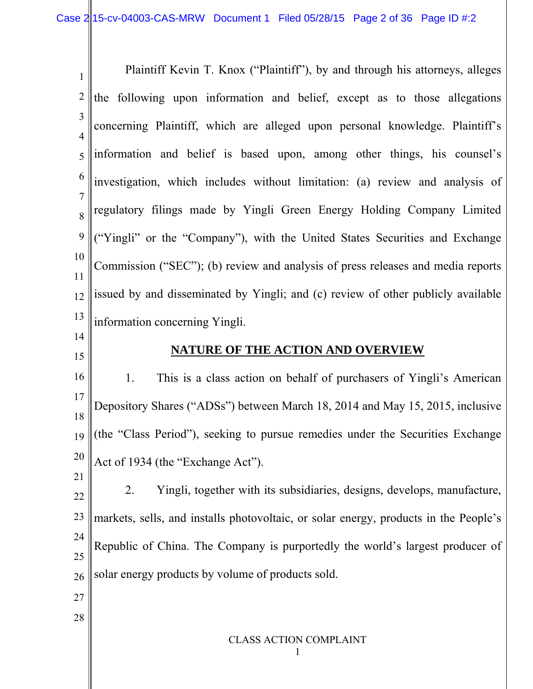1 2 3 4 5 6 7 8 9 10 11 12 13 14 15 16 17 Plaintiff Kevin T. Knox ("Plaintiff"), by and through his attorneys, alleges the following upon information and belief, except as to those allegations concerning Plaintiff, which are alleged upon personal knowledge. Plaintiff's information and belief is based upon, among other things, his counsel's investigation, which includes without limitation: (a) review and analysis of regulatory filings made by Yingli Green Energy Holding Company Limited ("Yingli" or the "Company"), with the United States Securities and Exchange Commission ("SEC"); (b) review and analysis of press releases and media reports issued by and disseminated by Yingli; and (c) review of other publicly available information concerning Yingli. **NATURE OF THE ACTION AND OVERVIEW**  1. This is a class action on behalf of purchasers of Yingli's American Depository Shares ("ADSs") between March 18, 2014 and May 15, 2015, inclusive

18 19 20 (the "Class Period"), seeking to pursue remedies under the Securities Exchange Act of 1934 (the "Exchange Act").

22 23 24 25 26 2. Yingli, together with its subsidiaries, designs, develops, manufacture, markets, sells, and installs photovoltaic, or solar energy, products in the People's Republic of China. The Company is purportedly the world's largest producer of solar energy products by volume of products sold.

27

21

28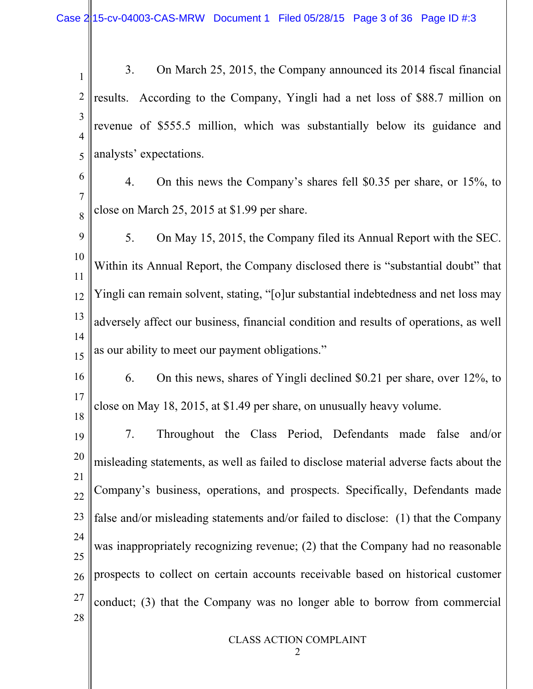Case  $2/15$ -cv-04003-CAS-MRW Document 1 Filed 05/28/15 Page 3 of 36 Page ID #:3

1 2 3 4 5 3. On March 25, 2015, the Company announced its 2014 fiscal financial results. According to the Company, Yingli had a net loss of \$88.7 million on revenue of \$555.5 million, which was substantially below its guidance and analysts' expectations.

- 6 7 8 4. On this news the Company's shares fell \$0.35 per share, or 15%, to close on March 25, 2015 at \$1.99 per share.
- 9 10 11 12 13 14 15 5. On May 15, 2015, the Company filed its Annual Report with the SEC. Within its Annual Report, the Company disclosed there is "substantial doubt" that Yingli can remain solvent, stating, "[o]ur substantial indebtedness and net loss may adversely affect our business, financial condition and results of operations, as well as our ability to meet our payment obligations."
- 16 17 18 6. On this news, shares of Yingli declined \$0.21 per share, over 12%, to close on May 18, 2015, at \$1.49 per share, on unusually heavy volume.

19 20 21 22 23 24 25 26 27 28 7. Throughout the Class Period, Defendants made false and/or misleading statements, as well as failed to disclose material adverse facts about the Company's business, operations, and prospects. Specifically, Defendants made false and/or misleading statements and/or failed to disclose: (1) that the Company was inappropriately recognizing revenue; (2) that the Company had no reasonable prospects to collect on certain accounts receivable based on historical customer conduct; (3) that the Company was no longer able to borrow from commercial

CLASS ACTION COMPLAINT

2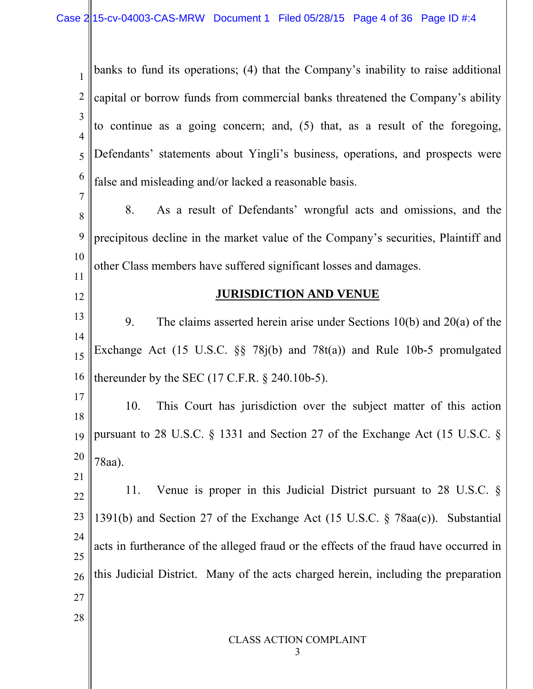CLASS ACTION COMPLAINT 3 1 2 3 4 5 6 7 8 9 10 11 12 13 14 15 16 17 18 19 20 21 22 23 24 25 26 27 28 banks to fund its operations; (4) that the Company's inability to raise additional capital or borrow funds from commercial banks threatened the Company's ability to continue as a going concern; and, (5) that, as a result of the foregoing, Defendants' statements about Yingli's business, operations, and prospects were false and misleading and/or lacked a reasonable basis. 8. As a result of Defendants' wrongful acts and omissions, and the precipitous decline in the market value of the Company's securities, Plaintiff and other Class members have suffered significant losses and damages. **JURISDICTION AND VENUE** 9. The claims asserted herein arise under Sections 10(b) and 20(a) of the Exchange Act (15 U.S.C. §§ 78j(b) and 78t(a)) and Rule 10b-5 promulgated thereunder by the SEC (17 C.F.R. § 240.10b-5). 10. This Court has jurisdiction over the subject matter of this action pursuant to 28 U.S.C. § 1331 and Section 27 of the Exchange Act (15 U.S.C. § 78aa). 11. Venue is proper in this Judicial District pursuant to 28 U.S.C. § 1391(b) and Section 27 of the Exchange Act (15 U.S.C. § 78aa(c)). Substantial acts in furtherance of the alleged fraud or the effects of the fraud have occurred in this Judicial District. Many of the acts charged herein, including the preparation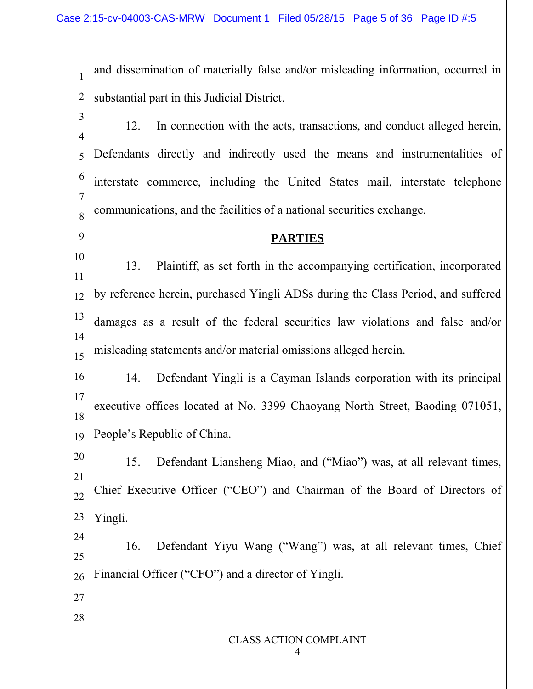1 2 and dissemination of materially false and/or misleading information, occurred in substantial part in this Judicial District.

3 4 5 6 7 8 12. In connection with the acts, transactions, and conduct alleged herein, Defendants directly and indirectly used the means and instrumentalities of interstate commerce, including the United States mail, interstate telephone communications, and the facilities of a national securities exchange.

### **PARTIES**

10 11 12 13 14 15 13. Plaintiff, as set forth in the accompanying certification, incorporated by reference herein, purchased Yingli ADSs during the Class Period, and suffered damages as a result of the federal securities law violations and false and/or misleading statements and/or material omissions alleged herein.

16 17 18 19 14. Defendant Yingli is a Cayman Islands corporation with its principal executive offices located at No. 3399 Chaoyang North Street, Baoding 071051, People's Republic of China.

20 21 22 23 15. Defendant Liansheng Miao, and ("Miao") was, at all relevant times, Chief Executive Officer ("CEO") and Chairman of the Board of Directors of Yingli.

24 25 26 16. Defendant Yiyu Wang ("Wang") was, at all relevant times, Chief Financial Officer ("CFO") and a director of Yingli.

27

9

28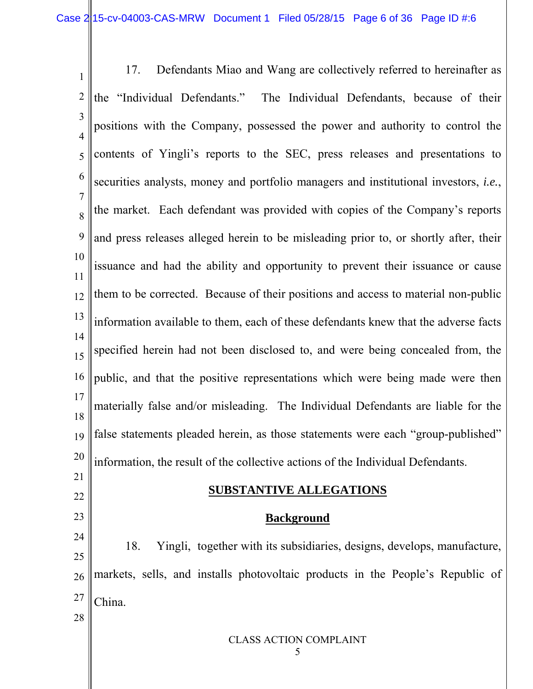CLASS ACTION COMPLAINT 1 2 3 4 5 6 7 8 9 10 11 12 13 14 15 16 17 18 19 20 21 22 23 24 25 26 27 28 17. Defendants Miao and Wang are collectively referred to hereinafter as the "Individual Defendants." The Individual Defendants, because of their positions with the Company, possessed the power and authority to control the contents of Yingli's reports to the SEC, press releases and presentations to securities analysts, money and portfolio managers and institutional investors, *i.e.*, the market. Each defendant was provided with copies of the Company's reports and press releases alleged herein to be misleading prior to, or shortly after, their issuance and had the ability and opportunity to prevent their issuance or cause them to be corrected. Because of their positions and access to material non-public information available to them, each of these defendants knew that the adverse facts specified herein had not been disclosed to, and were being concealed from, the public, and that the positive representations which were being made were then materially false and/or misleading. The Individual Defendants are liable for the false statements pleaded herein, as those statements were each "group-published" information, the result of the collective actions of the Individual Defendants. **SUBSTANTIVE ALLEGATIONS Background**  18. Yingli, together with its subsidiaries, designs, develops, manufacture, markets, sells, and installs photovoltaic products in the People's Republic of China.

5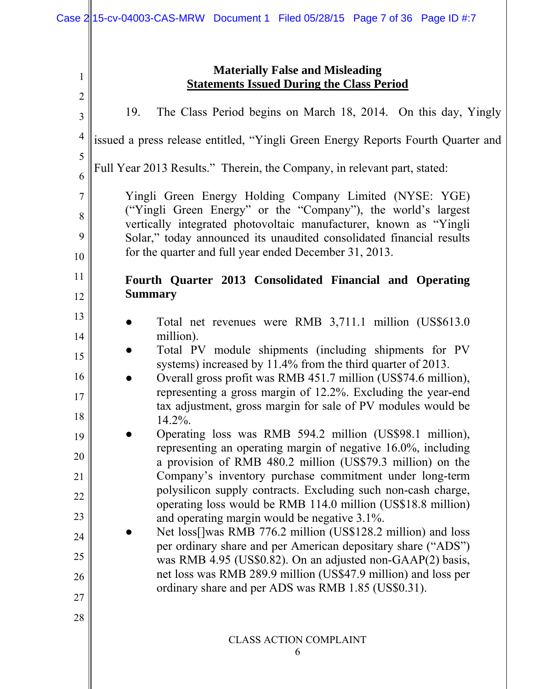|                          | <b>Materially False and Misleading</b>                                                                                                                                                                                                                                                                                          |
|--------------------------|---------------------------------------------------------------------------------------------------------------------------------------------------------------------------------------------------------------------------------------------------------------------------------------------------------------------------------|
| 1<br>$\overline{2}$      | <b>Statements Issued During the Class Period</b>                                                                                                                                                                                                                                                                                |
| 3                        | The Class Period begins on March 18, 2014. On this day, Yingly<br>19.                                                                                                                                                                                                                                                           |
| $\overline{4}$           | issued a press release entitled, "Yingli Green Energy Reports Fourth Quarter and                                                                                                                                                                                                                                                |
| 5<br>6                   | Full Year 2013 Results." Therein, the Company, in relevant part, stated:                                                                                                                                                                                                                                                        |
| $\overline{7}$<br>8<br>9 | Yingli Green Energy Holding Company Limited (NYSE: YGE)<br>("Yingli Green Energy" or the "Company"), the world's largest<br>vertically integrated photovoltaic manufacturer, known as "Yingli<br>Solar," today announced its unaudited consolidated financial results<br>for the quarter and full year ended December 31, 2013. |
| 10<br>11                 |                                                                                                                                                                                                                                                                                                                                 |
| 12                       | Fourth Quarter 2013 Consolidated Financial and Operating<br><b>Summary</b>                                                                                                                                                                                                                                                      |
| 13                       |                                                                                                                                                                                                                                                                                                                                 |
| 14                       | Total net revenues were RMB 3,711.1 million (US\$613.0)<br>million).                                                                                                                                                                                                                                                            |
| 15                       | Total PV module shipments (including shipments for PV                                                                                                                                                                                                                                                                           |
| 16                       | systems) increased by 11.4% from the third quarter of 2013.<br>Overall gross profit was RMB 451.7 million (US\$74.6 million),                                                                                                                                                                                                   |
| 17                       | representing a gross margin of 12.2%. Excluding the year-end                                                                                                                                                                                                                                                                    |
| 18                       | tax adjustment, gross margin for sale of PV modules would be<br>14.2%.                                                                                                                                                                                                                                                          |
| 19                       | Operating loss was RMB 594.2 million (US\$98.1 million),                                                                                                                                                                                                                                                                        |
| 20                       | representing an operating margin of negative 16.0%, including<br>a provision of RMB 480.2 million (US\$79.3 million) on the                                                                                                                                                                                                     |
| 21                       | Company's inventory purchase commitment under long-term<br>polysilicon supply contracts. Excluding such non-cash charge,                                                                                                                                                                                                        |
| 22                       | operating loss would be RMB 114.0 million (US\$18.8 million)                                                                                                                                                                                                                                                                    |
| 23                       | and operating margin would be negative 3.1%.                                                                                                                                                                                                                                                                                    |
| 24                       | Net loss[]was RMB 776.2 million (US\$128.2 million) and loss<br>per ordinary share and per American depositary share ("ADS")                                                                                                                                                                                                    |
| 25                       | was RMB 4.95 (US\$0.82). On an adjusted non-GAAP(2) basis,                                                                                                                                                                                                                                                                      |
| 26                       | net loss was RMB 289.9 million (US\$47.9 million) and loss per<br>ordinary share and per ADS was RMB 1.85 (US\$0.31).                                                                                                                                                                                                           |
| 27                       |                                                                                                                                                                                                                                                                                                                                 |
| 28                       |                                                                                                                                                                                                                                                                                                                                 |
|                          | <b>CLASS ACTION COMPLAINT</b><br>6                                                                                                                                                                                                                                                                                              |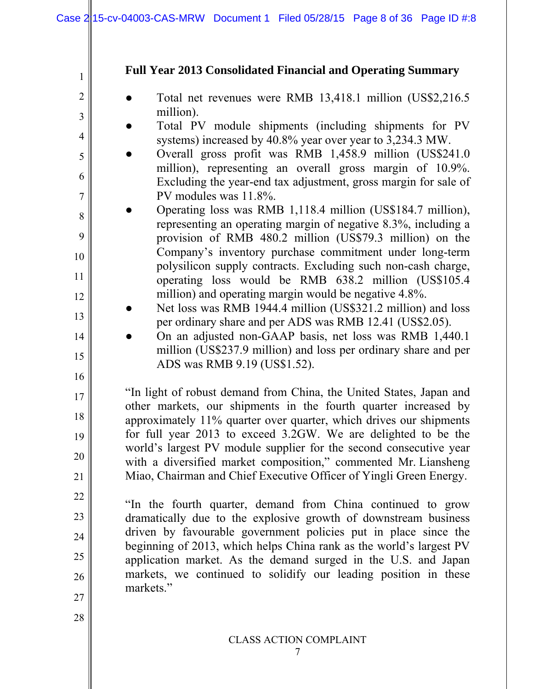### **Full Year 2013 Consolidated Financial and Operating Summary**

- Total net revenues were RMB 13,418.1 million (US\$2,216.5) million).
- Total PV module shipments (including shipments for PV systems) increased by 40.8% year over year to 3,234.3 MW.
- Overall gross profit was RMB 1,458.9 million (US\$241.0 million), representing an overall gross margin of 10.9%. Excluding the year-end tax adjustment, gross margin for sale of PV modules was 11.8%.
- Operating loss was RMB 1,118.4 million (US\$184.7 million), representing an operating margin of negative 8.3%, including a provision of RMB 480.2 million (US\$79.3 million) on the Company's inventory purchase commitment under long-term polysilicon supply contracts. Excluding such non-cash charge, operating loss would be RMB 638.2 million (US\$105.4 million) and operating margin would be negative 4.8%.
	- Net loss was RMB 1944.4 million (US\$321.2 million) and loss per ordinary share and per ADS was RMB 12.41 (US\$2.05).
	- On an adjusted non-GAAP basis, net loss was RMB 1,440.1 million (US\$237.9 million) and loss per ordinary share and per ADS was RMB 9.19 (US\$1.52).

"In light of robust demand from China, the United States, Japan and other markets, our shipments in the fourth quarter increased by approximately 11% quarter over quarter, which drives our shipments for full year 2013 to exceed 3.2GW. We are delighted to be the world's largest PV module supplier for the second consecutive year with a diversified market composition," commented Mr. Liansheng Miao, Chairman and Chief Executive Officer of Yingli Green Energy.

"In the fourth quarter, demand from China continued to grow dramatically due to the explosive growth of downstream business driven by favourable government policies put in place since the beginning of 2013, which helps China rank as the world's largest PV application market. As the demand surged in the U.S. and Japan markets, we continued to solidify our leading position in these markets."

27 28

1

2

3

4

5

6

7

8

9

10

11

12

13

14

15

16

17

18

19

20

21

22

23

24

25

26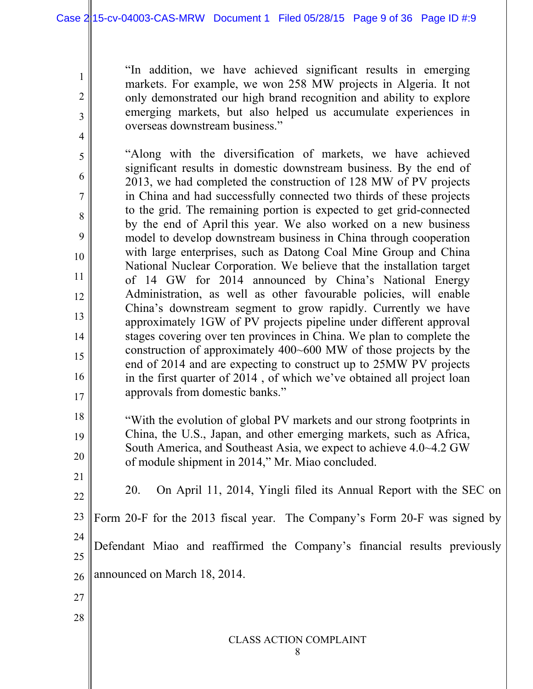1

2

3

4

5

6

7

8

9

10

11

12

13

14

15

16

17

18

19

20

"In addition, we have achieved significant results in emerging markets. For example, we won 258 MW projects in Algeria. It not only demonstrated our high brand recognition and ability to explore emerging markets, but also helped us accumulate experiences in overseas downstream business."

"Along with the diversification of markets, we have achieved significant results in domestic downstream business. By the end of 2013, we had completed the construction of 128 MW of PV projects in China and had successfully connected two thirds of these projects to the grid. The remaining portion is expected to get grid-connected by the end of April this year. We also worked on a new business model to develop downstream business in China through cooperation with large enterprises, such as Datong Coal Mine Group and China National Nuclear Corporation. We believe that the installation target of 14 GW for 2014 announced by China's National Energy Administration, as well as other favourable policies, will enable China's downstream segment to grow rapidly. Currently we have approximately 1GW of PV projects pipeline under different approval stages covering over ten provinces in China. We plan to complete the construction of approximately 400~600 MW of those projects by the end of 2014 and are expecting to construct up to 25MW PV projects in the first quarter of 2014 , of which we've obtained all project loan approvals from domestic banks."

"With the evolution of global PV markets and our strong footprints in China, the U.S., Japan, and other emerging markets, such as Africa, South America, and Southeast Asia, we expect to achieve 4.0~4.2 GW of module shipment in 2014," Mr. Miao concluded.

21 22 23 24 25 26 27 28 20. On April 11, 2014, Yingli filed its Annual Report with the SEC on Form 20-F for the 2013 fiscal year. The Company's Form 20-F was signed by Defendant Miao and reaffirmed the Company's financial results previously announced on March 18, 2014.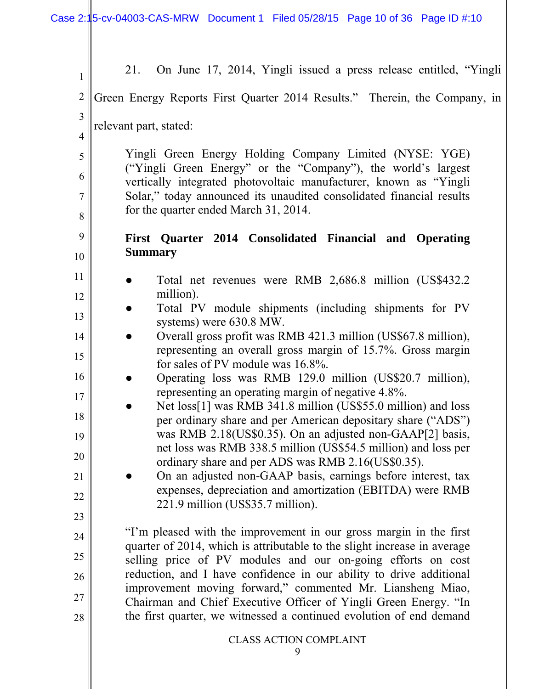| $\mathbf{1}$   | On June 17, 2014, Yingli issued a press release entitled, "Yingli<br>21.                                                          |  |  |  |
|----------------|-----------------------------------------------------------------------------------------------------------------------------------|--|--|--|
| $\overline{2}$ | Green Energy Reports First Quarter 2014 Results." Therein, the Company, in                                                        |  |  |  |
| 3              | relevant part, stated:                                                                                                            |  |  |  |
| $\overline{4}$ |                                                                                                                                   |  |  |  |
| 5              | Yingli Green Energy Holding Company Limited (NYSE: YGE)<br>("Yingli Green Energy" or the "Company"), the world's largest          |  |  |  |
| 6              | vertically integrated photovoltaic manufacturer, known as "Yingli                                                                 |  |  |  |
| $\overline{7}$ | Solar," today announced its unaudited consolidated financial results                                                              |  |  |  |
| 8              | for the quarter ended March 31, 2014.                                                                                             |  |  |  |
| 9              | First Quarter 2014 Consolidated Financial and Operating                                                                           |  |  |  |
| 10             | <b>Summary</b>                                                                                                                    |  |  |  |
| 11             | Total net revenues were RMB 2,686.8 million (US\$432.2)                                                                           |  |  |  |
| 12             | million).<br>Total PV module shipments (including shipments for PV                                                                |  |  |  |
| 13             | systems) were 630.8 MW.                                                                                                           |  |  |  |
| 14             | Overall gross profit was RMB 421.3 million (US\$67.8 million),<br>representing an overall gross margin of 15.7%. Gross margin     |  |  |  |
| 15             | for sales of PV module was 16.8%.                                                                                                 |  |  |  |
| 16             | Operating loss was RMB 129.0 million (US\$20.7 million),                                                                          |  |  |  |
| 17             | representing an operating margin of negative 4.8%.<br>Net loss[1] was RMB 341.8 million (US\$55.0 million) and loss               |  |  |  |
| 18             | per ordinary share and per American depositary share ("ADS")                                                                      |  |  |  |
| 19             | was RMB 2.18(US\$0.35). On an adjusted non-GAAP[2] basis,<br>net loss was RMB 338.5 million (US\$54.5 million) and loss per       |  |  |  |
| 20             | ordinary share and per ADS was RMB 2.16(US\$0.35).                                                                                |  |  |  |
| 21             | On an adjusted non-GAAP basis, earnings before interest, tax<br>expenses, depreciation and amortization (EBITDA) were RMB         |  |  |  |
| 22             | 221.9 million (US\$35.7 million).                                                                                                 |  |  |  |
| 23             | "I'm pleased with the improvement in our gross margin in the first                                                                |  |  |  |
| 24             | quarter of 2014, which is attributable to the slight increase in average                                                          |  |  |  |
| 25             | selling price of PV modules and our on-going efforts on cost                                                                      |  |  |  |
| 26             | reduction, and I have confidence in our ability to drive additional<br>improvement moving forward," commented Mr. Liansheng Miao, |  |  |  |
| 27             | Chairman and Chief Executive Officer of Yingli Green Energy. "In                                                                  |  |  |  |
| 28             | the first quarter, we witnessed a continued evolution of end demand                                                               |  |  |  |
|                | <b>CLASS ACTION COMPLAINT</b>                                                                                                     |  |  |  |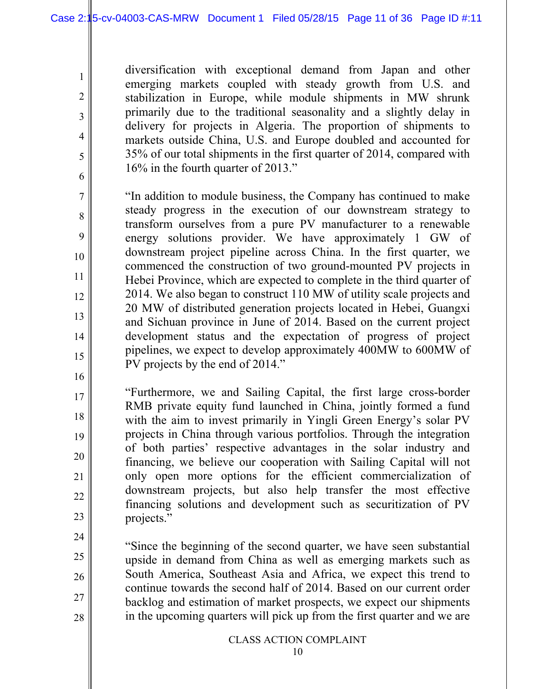diversification with exceptional demand from Japan and other emerging markets coupled with steady growth from U.S. and stabilization in Europe, while module shipments in MW shrunk primarily due to the traditional seasonality and a slightly delay in delivery for projects in Algeria. The proportion of shipments to markets outside China, U.S. and Europe doubled and accounted for 35% of our total shipments in the first quarter of 2014, compared with 16% in the fourth quarter of 2013."

"In addition to module business, the Company has continued to make steady progress in the execution of our downstream strategy to transform ourselves from a pure PV manufacturer to a renewable energy solutions provider. We have approximately 1 GW of downstream project pipeline across China. In the first quarter, we commenced the construction of two ground-mounted PV projects in Hebei Province, which are expected to complete in the third quarter of 2014. We also began to construct 110 MW of utility scale projects and 20 MW of distributed generation projects located in Hebei, Guangxi and Sichuan province in June of 2014. Based on the current project development status and the expectation of progress of project pipelines, we expect to develop approximately 400MW to 600MW of PV projects by the end of 2014."

16

17

18

19

20

21

22

23

24

25

26

27

28

1

2

3

4

5

6

7

8

9

10

11

12

13

14

15

"Furthermore, we and Sailing Capital, the first large cross-border RMB private equity fund launched in China, jointly formed a fund with the aim to invest primarily in Yingli Green Energy's solar PV projects in China through various portfolios. Through the integration of both parties' respective advantages in the solar industry and financing, we believe our cooperation with Sailing Capital will not only open more options for the efficient commercialization of downstream projects, but also help transfer the most effective financing solutions and development such as securitization of PV projects."

"Since the beginning of the second quarter, we have seen substantial upside in demand from China as well as emerging markets such as South America, Southeast Asia and Africa, we expect this trend to continue towards the second half of 2014. Based on our current order backlog and estimation of market prospects, we expect our shipments in the upcoming quarters will pick up from the first quarter and we are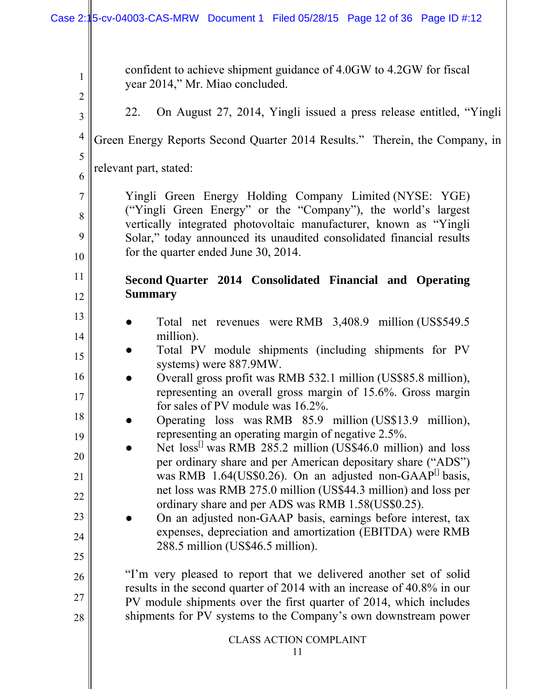| $\mathbf{1}$<br>$\overline{2}$ | confident to achieve shipment guidance of 4.0GW to 4.2GW for fiscal<br>year 2014," Mr. Miao concluded.                                                                                                                                                                                                        |
|--------------------------------|---------------------------------------------------------------------------------------------------------------------------------------------------------------------------------------------------------------------------------------------------------------------------------------------------------------|
| 3                              | On August 27, 2014, Yingli issued a press release entitled, "Yingli<br>22.                                                                                                                                                                                                                                    |
| $\overline{4}$<br>5            | Green Energy Reports Second Quarter 2014 Results." Therein, the Company, in                                                                                                                                                                                                                                   |
| 6                              | relevant part, stated:                                                                                                                                                                                                                                                                                        |
| $\overline{7}$<br>8<br>9<br>10 | Yingli Green Energy Holding Company Limited (NYSE: YGE)<br>("Yingli Green Energy" or the "Company"), the world's largest<br>vertically integrated photovoltaic manufacturer, known as "Yingli<br>Solar," today announced its unaudited consolidated financial results<br>for the quarter ended June 30, 2014. |
| 11                             | Second Quarter 2014 Consolidated Financial and Operating                                                                                                                                                                                                                                                      |
| 12                             | <b>Summary</b>                                                                                                                                                                                                                                                                                                |
| 13<br>14                       | Total net revenues were RMB 3,408.9 million (US\$549.5)<br>million).                                                                                                                                                                                                                                          |
| 15                             | Total PV module shipments (including shipments for PV<br>systems) were 887.9MW.                                                                                                                                                                                                                               |
| 16                             | Overall gross profit was RMB 532.1 million (US\$85.8 million),                                                                                                                                                                                                                                                |
| 17                             | representing an overall gross margin of 15.6%. Gross margin<br>for sales of PV module was 16.2%.                                                                                                                                                                                                              |
| 18<br>19                       | Operating loss was RMB 85.9 million (US\$13.9 million),<br>representing an operating margin of negative 2.5%.                                                                                                                                                                                                 |
| 20                             | Net loss <sup>11</sup> was RMB 285.2 million (US\$46.0 million) and loss<br>per ordinary share and per American depositary share ("ADS")                                                                                                                                                                      |
| 21                             | was RMB $1.64$ (US\$0.26). On an adjusted non-GAAP <sup>[1]</sup> basis,                                                                                                                                                                                                                                      |
| 22                             | net loss was RMB 275.0 million (US\$44.3 million) and loss per<br>ordinary share and per ADS was RMB 1.58(US\$0.25).                                                                                                                                                                                          |
| 23<br>24                       | On an adjusted non-GAAP basis, earnings before interest, tax<br>expenses, depreciation and amortization (EBITDA) were RMB                                                                                                                                                                                     |
| 25                             | 288.5 million (US\$46.5 million).                                                                                                                                                                                                                                                                             |
| 26                             | "I'm very pleased to report that we delivered another set of solid                                                                                                                                                                                                                                            |
| 27                             | results in the second quarter of 2014 with an increase of 40.8% in our<br>PV module shipments over the first quarter of 2014, which includes                                                                                                                                                                  |
| 28                             | shipments for PV systems to the Company's own downstream power                                                                                                                                                                                                                                                |
|                                | <b>CLASS ACTION COMPLAINT</b><br>11                                                                                                                                                                                                                                                                           |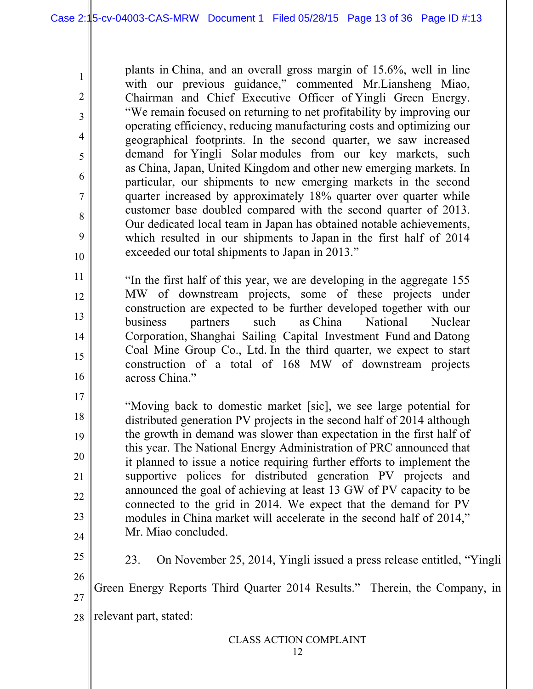plants in China, and an overall gross margin of 15.6%, well in line with our previous guidance," commented Mr.Liansheng Miao, Chairman and Chief Executive Officer of Yingli Green Energy. "We remain focused on returning to net profitability by improving our operating efficiency, reducing manufacturing costs and optimizing our geographical footprints. In the second quarter, we saw increased demand for Yingli Solar modules from our key markets, such as China, Japan, United Kingdom and other new emerging markets. In particular, our shipments to new emerging markets in the second quarter increased by approximately 18% quarter over quarter while customer base doubled compared with the second quarter of 2013. Our dedicated local team in Japan has obtained notable achievements, which resulted in our shipments to Japan in the first half of 2014 exceeded our total shipments to Japan in 2013."

"In the first half of this year, we are developing in the aggregate 155 MW of downstream projects, some of these projects under construction are expected to be further developed together with our business partners such as China National Nuclear Corporation, Shanghai Sailing Capital Investment Fund and Datong Coal Mine Group Co., Ltd. In the third quarter, we expect to start construction of a total of 168 MW of downstream projects across China."

17 18 19 20 21 22 23 24 "Moving back to domestic market [sic], we see large potential for distributed generation PV projects in the second half of 2014 although the growth in demand was slower than expectation in the first half of this year. The National Energy Administration of PRC announced that it planned to issue a notice requiring further efforts to implement the supportive polices for distributed generation PV projects and announced the goal of achieving at least 13 GW of PV capacity to be connected to the grid in 2014. We expect that the demand for PV modules in China market will accelerate in the second half of 2014," Mr. Miao concluded.

- 23. On November 25, 2014, Yingli issued a press release entitled, "Yingli
- 26 27 Green Energy Reports Third Quarter 2014 Results."Therein, the Company, in
- 28 relevant part, stated:

1

2

3

4

5

6

7

8

9

10

11

12

13

14

15

16

25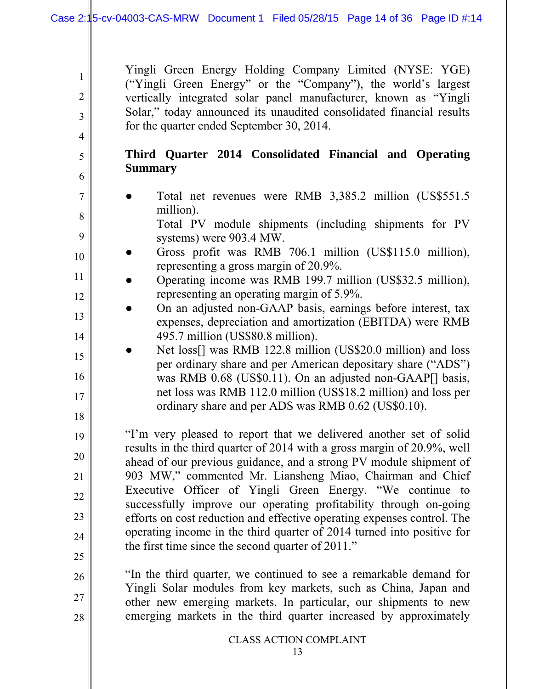Yingli Green Energy Holding Company Limited (NYSE: YGE) ("Yingli Green Energy" or the "Company"), the world's largest vertically integrated solar panel manufacturer, known as "Yingli Solar," today announced its unaudited consolidated financial results for the quarter ended September 30, 2014.

## **Third Quarter 2014 Consolidated Financial and Operating Summary**

7 8

9

10

11

12

13

14

15

16

17

18

19

20

21

22

23

24

25

26

27

28

1

2

3

4

5

6

Total net revenues were RMB 3,385.2 million (US\$551.5) million).

 Total PV module shipments (including shipments for PV systems) were 903.4 MW.

- Gross profit was RMB 706.1 million (US\$115.0 million), representing a gross margin of 20.9%.
- Operating income was RMB 199.7 million (US\$32.5 million), representing an operating margin of 5.9%.
- On an adjusted non-GAAP basis, earnings before interest, tax expenses, depreciation and amortization (EBITDA) were RMB 495.7 million (US\$80.8 million).
- Net loss[] was RMB 122.8 million (US\$20.0 million) and loss per ordinary share and per American depositary share ("ADS") was RMB 0.68 (US\$0.11). On an adjusted non-GAAP[] basis, net loss was RMB 112.0 million (US\$18.2 million) and loss per ordinary share and per ADS was RMB 0.62 (US\$0.10).

"I'm very pleased to report that we delivered another set of solid results in the third quarter of 2014 with a gross margin of 20.9%, well ahead of our previous guidance, and a strong PV module shipment of 903 MW," commented Mr. Liansheng Miao, Chairman and Chief Executive Officer of Yingli Green Energy. "We continue to successfully improve our operating profitability through on-going efforts on cost reduction and effective operating expenses control. The operating income in the third quarter of 2014 turned into positive for the first time since the second quarter of 2011."

"In the third quarter, we continued to see a remarkable demand for Yingli Solar modules from key markets, such as China, Japan and other new emerging markets. In particular, our shipments to new emerging markets in the third quarter increased by approximately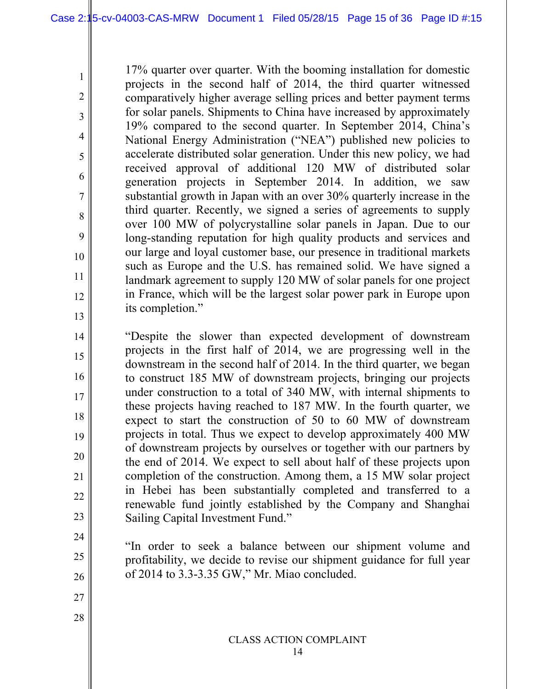17% quarter over quarter. With the booming installation for domestic projects in the second half of 2014, the third quarter witnessed comparatively higher average selling prices and better payment terms for solar panels. Shipments to China have increased by approximately 19% compared to the second quarter. In September 2014, China's National Energy Administration ("NEA") published new policies to accelerate distributed solar generation. Under this new policy, we had received approval of additional 120 MW of distributed solar generation projects in September 2014. In addition, we saw substantial growth in Japan with an over 30% quarterly increase in the third quarter. Recently, we signed a series of agreements to supply over 100 MW of polycrystalline solar panels in Japan. Due to our long-standing reputation for high quality products and services and our large and loyal customer base, our presence in traditional markets such as Europe and the U.S. has remained solid. We have signed a landmark agreement to supply 120 MW of solar panels for one project in France, which will be the largest solar power park in Europe upon its completion."

"Despite the slower than expected development of downstream projects in the first half of 2014, we are progressing well in the downstream in the second half of 2014. In the third quarter, we began to construct 185 MW of downstream projects, bringing our projects under construction to a total of 340 MW, with internal shipments to these projects having reached to 187 MW. In the fourth quarter, we expect to start the construction of 50 to 60 MW of downstream projects in total. Thus we expect to develop approximately 400 MW of downstream projects by ourselves or together with our partners by the end of 2014. We expect to sell about half of these projects upon completion of the construction. Among them, a 15 MW solar project in Hebei has been substantially completed and transferred to a renewable fund jointly established by the Company and Shanghai Sailing Capital Investment Fund."

"In order to seek a balance between our shipment volume and profitability, we decide to revise our shipment guidance for full year of 2014 to 3.3-3.35 GW," Mr. Miao concluded.

27

28

1

2

3

4

5

6

7

8

9

10

11

12

13

14

15

16

17

18

19

20

21

22

23

24

25

26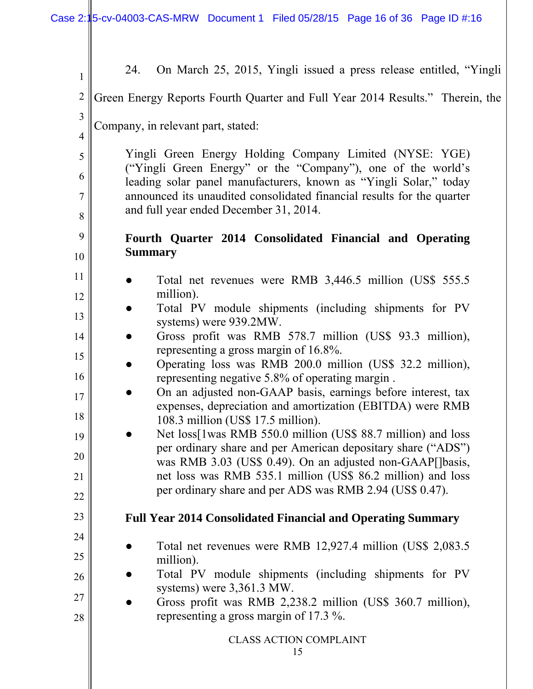| $\mathbf{1}$   | On March 25, 2015, Yingli issued a press release entitled, "Yingli"<br>24.                                                        |
|----------------|-----------------------------------------------------------------------------------------------------------------------------------|
| $\overline{2}$ | Green Energy Reports Fourth Quarter and Full Year 2014 Results." Therein, the                                                     |
| 3              |                                                                                                                                   |
| $\overline{4}$ | Company, in relevant part, stated:                                                                                                |
| 5              | Yingli Green Energy Holding Company Limited (NYSE: YGE)                                                                           |
| 6              | ("Yingli Green Energy" or the "Company"), one of the world's<br>leading solar panel manufacturers, known as "Yingli Solar," today |
| $\overline{7}$ | announced its unaudited consolidated financial results for the quarter                                                            |
| 8              | and full year ended December 31, 2014.                                                                                            |
| 9              | Fourth Quarter 2014 Consolidated Financial and Operating                                                                          |
| 10             | <b>Summary</b>                                                                                                                    |
| 11             | Total net revenues were RMB 3,446.5 million (US\$ 555.5)                                                                          |
| 12             | million).                                                                                                                         |
| 13             | Total PV module shipments (including shipments for PV<br>systems) were 939.2MW.                                                   |
| 14             | Gross profit was RMB 578.7 million (US\$ 93.3 million),                                                                           |
| 15             | representing a gross margin of 16.8%.<br>Operating loss was RMB 200.0 million (US\$ 32.2 million),                                |
| 16             | representing negative 5.8% of operating margin.                                                                                   |
| 17             | On an adjusted non-GAAP basis, earnings before interest, tax<br>expenses, depreciation and amortization (EBITDA) were RMB         |
| 18             | 108.3 million (US\$ 17.5 million).                                                                                                |
| 19             | Net loss[1was RMB 550.0 million (US\$ 88.7 million) and loss                                                                      |
| 20             | per ordinary share and per American depositary share ("ADS")<br>was RMB 3.03 (US\$ 0.49). On an adjusted non-GAAP[]basis,         |
| 21             | net loss was RMB 535.1 million (US\$ 86.2 million) and loss                                                                       |
| 22             | per ordinary share and per ADS was RMB 2.94 (US\$ 0.47).                                                                          |
| 23             | <b>Full Year 2014 Consolidated Financial and Operating Summary</b>                                                                |
| 24             | Total net revenues were RMB 12,927.4 million (US\$ 2,083.5)                                                                       |
| 25             | million).                                                                                                                         |
| 26             | Total PV module shipments (including shipments for PV                                                                             |
| 27             | systems) were 3,361.3 MW.<br>Gross profit was RMB 2,238.2 million (US\$ 360.7 million),                                           |
| 28             | representing a gross margin of 17.3 %.                                                                                            |
|                | <b>CLASS ACTION COMPLAINT</b>                                                                                                     |
|                | 15                                                                                                                                |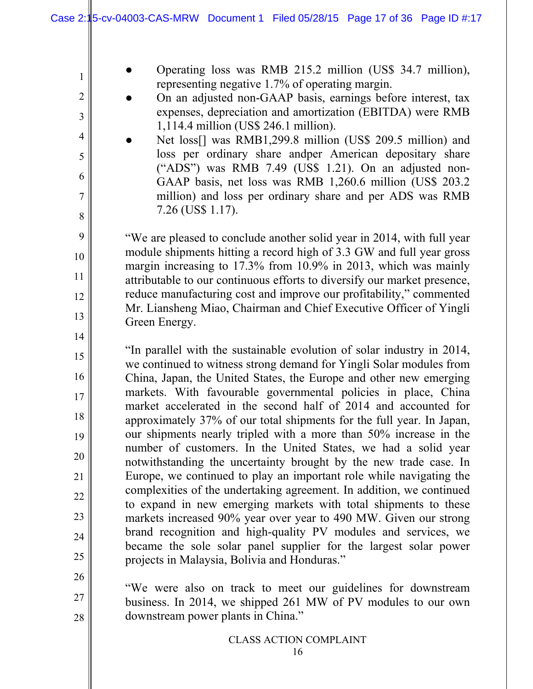- Operating loss was RMB 215.2 million (US\$ 34.7 million), representing negative 1.7% of operating margin.
- On an adjusted non-GAAP basis, earnings before interest, tax expenses, depreciation and amortization (EBITDA) were RMB 1,114.4 million (US\$ 246.1 million).
- Net loss[] was RMB1,299.8 million (US\$ 209.5 million) and loss per ordinary share andper American depositary share ("ADS") was RMB 7.49 (US\$ 1.21). On an adjusted non-GAAP basis, net loss was RMB 1,260.6 million (US\$ 203.2 million) and loss per ordinary share and per ADS was RMB 7.26 (US\$ 1.17).

"We are pleased to conclude another solid year in 2014, with full year module shipments hitting a record high of 3.3 GW and full year gross margin increasing to 17.3% from 10.9% in 2013, which was mainly attributable to our continuous efforts to diversify our market presence, reduce manufacturing cost and improve our profitability," commented Mr. Liansheng Miao, Chairman and Chief Executive Officer of Yingli Green Energy.

- "In parallel with the sustainable evolution of solar industry in 2014, we continued to witness strong demand for Yingli Solar modules from China, Japan, the United States, the Europe and other new emerging markets. With favourable governmental policies in place, China market accelerated in the second half of 2014 and accounted for approximately 37% of our total shipments for the full year. In Japan, our shipments nearly tripled with a more than 50% increase in the number of customers. In the United States, we had a solid year notwithstanding the uncertainty brought by the new trade case. In Europe, we continued to play an important role while navigating the complexities of the undertaking agreement. In addition, we continued to expand in new emerging markets with total shipments to these markets increased 90% year over year to 490 MW. Given our strong brand recognition and high-quality PV modules and services, we became the sole solar panel supplier for the largest solar power projects in Malaysia, Bolivia and Honduras."
- 26

27

28

1

2

3

4

5

6

7

8

9

10

11

12

13

14

15

16

17

18

19

20

21

22

23

24

25

"We were also on track to meet our guidelines for downstream business. In 2014, we shipped 261 MW of PV modules to our own downstream power plants in China."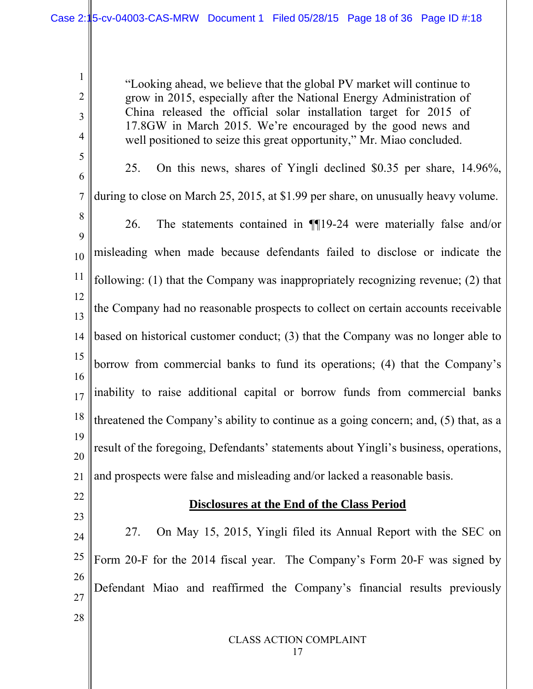"Looking ahead, we believe that the global PV market will continue to grow in 2015, especially after the National Energy Administration of China released the official solar installation target for 2015 of 17.8GW in March 2015. We're encouraged by the good news and well positioned to seize this great opportunity," Mr. Miao concluded.

6 7 8 9 10 11 12 13 14 15 16 17 18 19 20 21 25. On this news, shares of Yingli declined \$0.35 per share, 14.96%, during to close on March 25, 2015, at \$1.99 per share, on unusually heavy volume. 26. The statements contained in ¶¶19-24 were materially false and/or misleading when made because defendants failed to disclose or indicate the following: (1) that the Company was inappropriately recognizing revenue; (2) that the Company had no reasonable prospects to collect on certain accounts receivable based on historical customer conduct; (3) that the Company was no longer able to borrow from commercial banks to fund its operations; (4) that the Company's inability to raise additional capital or borrow funds from commercial banks threatened the Company's ability to continue as a going concern; and, (5) that, as a result of the foregoing, Defendants' statements about Yingli's business, operations, and prospects were false and misleading and/or lacked a reasonable basis.

22

23

28

1

2

3

4

5

## **Disclosures at the End of the Class Period**

24 25 26 27 27. On May 15, 2015, Yingli filed its Annual Report with the SEC on Form 20-F for the 2014 fiscal year. The Company's Form 20-F was signed by Defendant Miao and reaffirmed the Company's financial results previously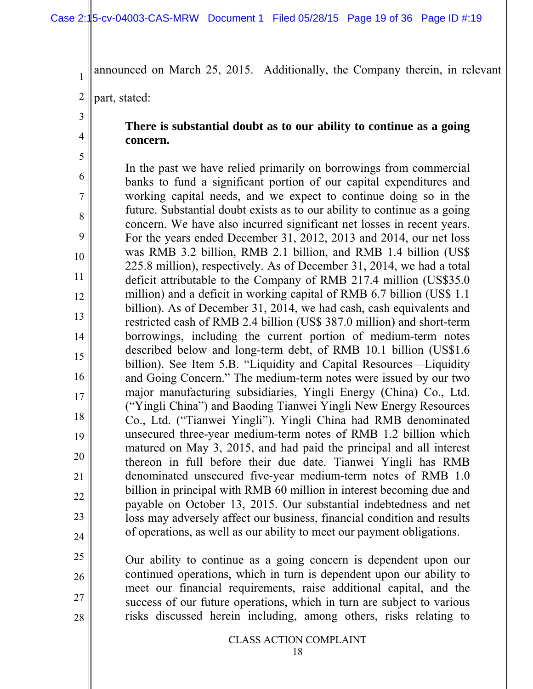announced on March 25, 2015. Additionally, the Company therein, in relevant

2 part, stated:

# 3 4

1

## **There is substantial doubt as to our ability to continue as a going concern.**

5 6 7 8 9 10 11 12 13 14 15 16 17 18 19 20 21 22 23 24 In the past we have relied primarily on borrowings from commercial banks to fund a significant portion of our capital expenditures and working capital needs, and we expect to continue doing so in the future. Substantial doubt exists as to our ability to continue as a going concern. We have also incurred significant net losses in recent years. For the years ended December 31, 2012, 2013 and 2014, our net loss was RMB 3.2 billion, RMB 2.1 billion, and RMB 1.4 billion (US\$ 225.8 million), respectively. As of December 31, 2014, we had a total deficit attributable to the Company of RMB 217.4 million (US\$35.0 million) and a deficit in working capital of RMB 6.7 billion (US\$ 1.1 billion). As of December 31, 2014, we had cash, cash equivalents and restricted cash of RMB 2.4 billion (US\$ 387.0 million) and short-term borrowings, including the current portion of medium-term notes described below and long-term debt, of RMB 10.1 billion (US\$1.6 billion). See Item 5.B. "Liquidity and Capital Resources—Liquidity and Going Concern." The medium-term notes were issued by our two major manufacturing subsidiaries, Yingli Energy (China) Co., Ltd. ("Yingli China") and Baoding Tianwei Yingli New Energy Resources Co., Ltd. ("Tianwei Yingli"). Yingli China had RMB denominated unsecured three-year medium-term notes of RMB 1.2 billion which matured on May 3, 2015, and had paid the principal and all interest thereon in full before their due date. Tianwei Yingli has RMB denominated unsecured five-year medium-term notes of RMB 1.0 billion in principal with RMB 60 million in interest becoming due and payable on October 13, 2015. Our substantial indebtedness and net loss may adversely affect our business, financial condition and results of operations, as well as our ability to meet our payment obligations.

- 25
- 26

27

28

CLASS ACTION COMPLAINT

Our ability to continue as a going concern is dependent upon our continued operations, which in turn is dependent upon our ability to meet our financial requirements, raise additional capital, and the success of our future operations, which in turn are subject to various risks discussed herein including, among others, risks relating to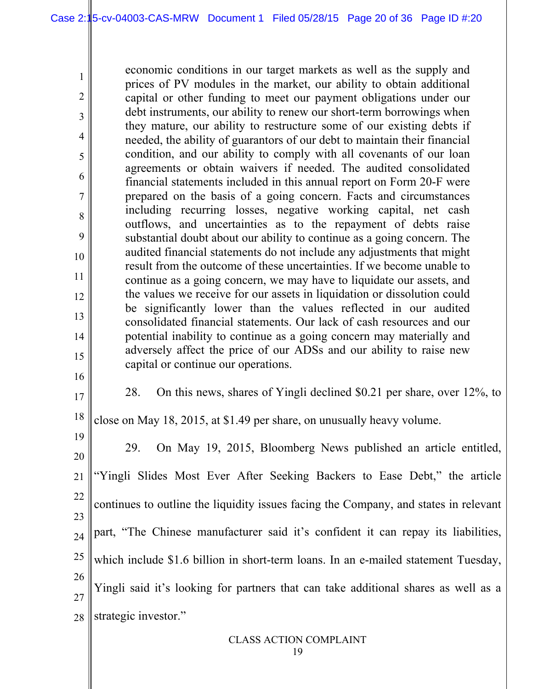economic conditions in our target markets as well as the supply and prices of PV modules in the market, our ability to obtain additional capital or other funding to meet our payment obligations under our debt instruments, our ability to renew our short-term borrowings when they mature, our ability to restructure some of our existing debts if needed, the ability of guarantors of our debt to maintain their financial condition, and our ability to comply with all covenants of our loan agreements or obtain waivers if needed. The audited consolidated financial statements included in this annual report on Form 20-F were prepared on the basis of a going concern. Facts and circumstances including recurring losses, negative working capital, net cash outflows, and uncertainties as to the repayment of debts raise substantial doubt about our ability to continue as a going concern. The audited financial statements do not include any adjustments that might result from the outcome of these uncertainties. If we become unable to continue as a going concern, we may have to liquidate our assets, and the values we receive for our assets in liquidation or dissolution could be significantly lower than the values reflected in our audited consolidated financial statements. Our lack of cash resources and our potential inability to continue as a going concern may materially and adversely affect the price of our ADSs and our ability to raise new capital or continue our operations.

16 17

1

2

3

4

5

6

7

8

9

10

11

12

13

14

15

28. On this news, shares of Yingli declined \$0.21 per share, over 12%, to

18 close on May 18, 2015, at \$1.49 per share, on unusually heavy volume.

19 20 21 22 23 24 25 26 27 28 29. On May 19, 2015, Bloomberg News published an article entitled, "Yingli Slides Most Ever After Seeking Backers to Ease Debt," the article continues to outline the liquidity issues facing the Company, and states in relevant part, "The Chinese manufacturer said it's confident it can repay its liabilities, which include \$1.6 billion in short-term loans. In an e-mailed statement Tuesday, Yingli said it's looking for partners that can take additional shares as well as a strategic investor."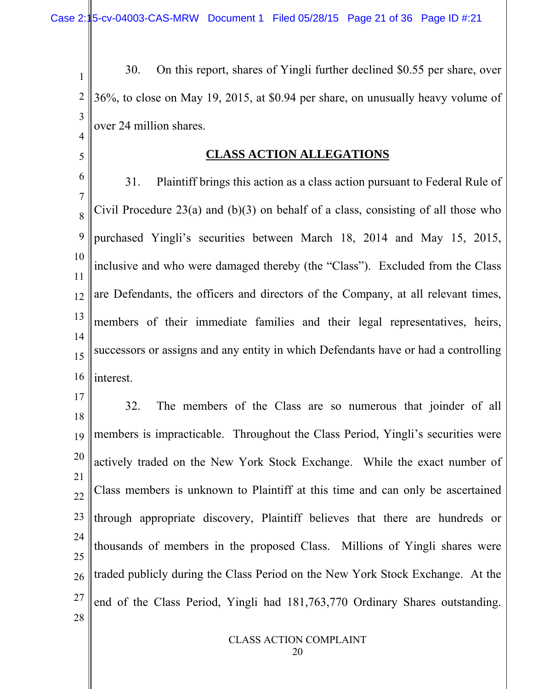5

1 2 3 4 30. On this report, shares of Yingli further declined \$0.55 per share, over 36%, to close on May 19, 2015, at \$0.94 per share, on unusually heavy volume of over 24 million shares.

#### **CLASS ACTION ALLEGATIONS**

6 7 8 9 10 11 12 13 14 15 16 31. Plaintiff brings this action as a class action pursuant to Federal Rule of Civil Procedure 23(a) and  $(b)(3)$  on behalf of a class, consisting of all those who purchased Yingli's securities between March 18, 2014 and May 15, 2015, inclusive and who were damaged thereby (the "Class"). Excluded from the Class are Defendants, the officers and directors of the Company, at all relevant times, members of their immediate families and their legal representatives, heirs, successors or assigns and any entity in which Defendants have or had a controlling interest.

17 18 19 20 21 22 23 24 25 26 27 28 32. The members of the Class are so numerous that joinder of all members is impracticable. Throughout the Class Period, Yingli's securities were actively traded on the New York Stock Exchange. While the exact number of Class members is unknown to Plaintiff at this time and can only be ascertained through appropriate discovery, Plaintiff believes that there are hundreds or thousands of members in the proposed Class. Millions of Yingli shares were traded publicly during the Class Period on the New York Stock Exchange. At the end of the Class Period, Yingli had 181,763,770 Ordinary Shares outstanding.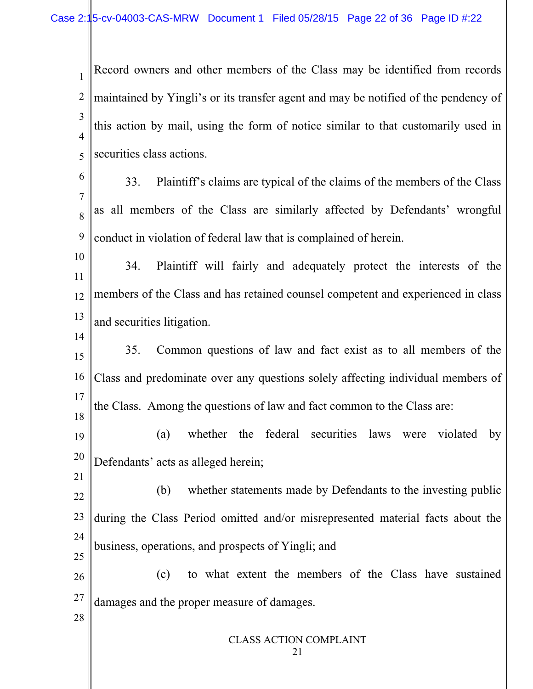1 2 3 4 5 Record owners and other members of the Class may be identified from records maintained by Yingli's or its transfer agent and may be notified of the pendency of this action by mail, using the form of notice similar to that customarily used in securities class actions.

6 7 8 9 33. Plaintiff's claims are typical of the claims of the members of the Class as all members of the Class are similarly affected by Defendants' wrongful conduct in violation of federal law that is complained of herein.

10 11 12 13 34. Plaintiff will fairly and adequately protect the interests of the members of the Class and has retained counsel competent and experienced in class and securities litigation.

15 16 17 18 35. Common questions of law and fact exist as to all members of the Class and predominate over any questions solely affecting individual members of the Class. Among the questions of law and fact common to the Class are:

19 20 (a) whether the federal securities laws were violated by Defendants' acts as alleged herein;

22 23 24 25 (b) whether statements made by Defendants to the investing public during the Class Period omitted and/or misrepresented material facts about the business, operations, and prospects of Yingli; and

26 27 (c) to what extent the members of the Class have sustained damages and the proper measure of damages.

28

14

21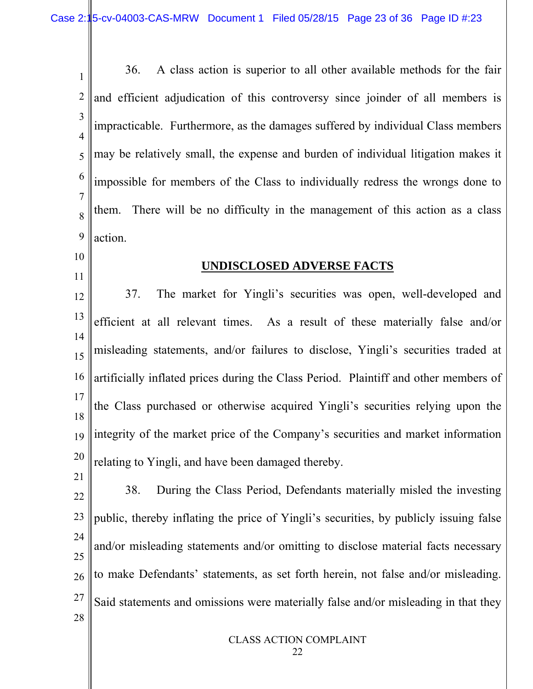1 2 3 4 5 6 7 8 9 36. A class action is superior to all other available methods for the fair and efficient adjudication of this controversy since joinder of all members is impracticable. Furthermore, as the damages suffered by individual Class members may be relatively small, the expense and burden of individual litigation makes it impossible for members of the Class to individually redress the wrongs done to them. There will be no difficulty in the management of this action as a class action.

10

11

21

#### **UNDISCLOSED ADVERSE FACTS**

12 13 14 15 16 17 18 19 20 37. The market for Yingli's securities was open, well-developed and efficient at all relevant times. As a result of these materially false and/or misleading statements, and/or failures to disclose, Yingli's securities traded at artificially inflated prices during the Class Period. Plaintiff and other members of the Class purchased or otherwise acquired Yingli's securities relying upon the integrity of the market price of the Company's securities and market information relating to Yingli, and have been damaged thereby.

22 23 24 25 26 27 28 38. During the Class Period, Defendants materially misled the investing public, thereby inflating the price of Yingli's securities, by publicly issuing false and/or misleading statements and/or omitting to disclose material facts necessary to make Defendants' statements, as set forth herein, not false and/or misleading. Said statements and omissions were materially false and/or misleading in that they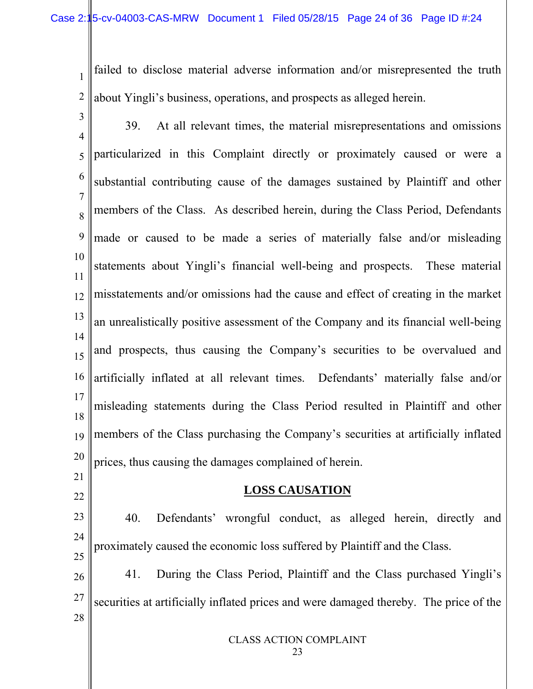1 2 failed to disclose material adverse information and/or misrepresented the truth about Yingli's business, operations, and prospects as alleged herein.

3 4 5 6 7 8 9 10 11 12 13 14 15 16 17 18 19 20 21 39. At all relevant times, the material misrepresentations and omissions particularized in this Complaint directly or proximately caused or were a substantial contributing cause of the damages sustained by Plaintiff and other members of the Class. As described herein, during the Class Period, Defendants made or caused to be made a series of materially false and/or misleading statements about Yingli's financial well-being and prospects. These material misstatements and/or omissions had the cause and effect of creating in the market an unrealistically positive assessment of the Company and its financial well-being and prospects, thus causing the Company's securities to be overvalued and artificially inflated at all relevant times. Defendants' materially false and/or misleading statements during the Class Period resulted in Plaintiff and other members of the Class purchasing the Company's securities at artificially inflated prices, thus causing the damages complained of herein.

#### **LOSS CAUSATION**

22

23 24 25 26 27 28 40. Defendants' wrongful conduct, as alleged herein, directly and proximately caused the economic loss suffered by Plaintiff and the Class. 41. During the Class Period, Plaintiff and the Class purchased Yingli's securities at artificially inflated prices and were damaged thereby. The price of the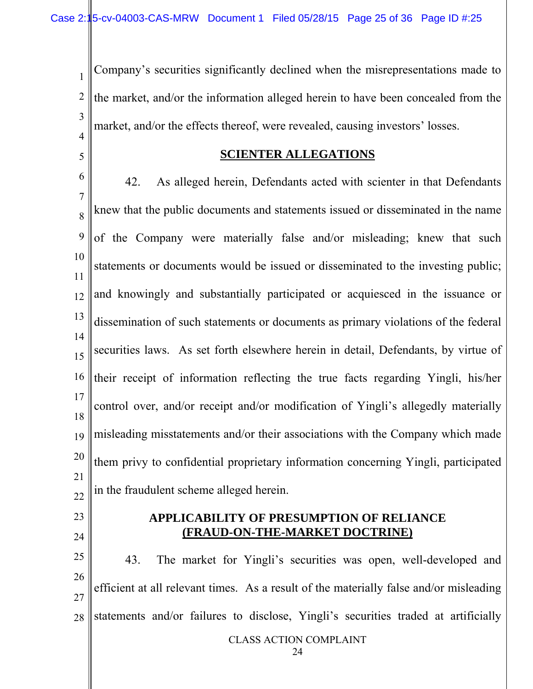1 2 3 4 Company's securities significantly declined when the misrepresentations made to the market, and/or the information alleged herein to have been concealed from the market, and/or the effects thereof, were revealed, causing investors' losses.

5

#### **SCIENTER ALLEGATIONS**

6 7 8 9 10 11 12 13 14 15 16 17 18 19 20 21 22 42. As alleged herein, Defendants acted with scienter in that Defendants knew that the public documents and statements issued or disseminated in the name of the Company were materially false and/or misleading; knew that such statements or documents would be issued or disseminated to the investing public; and knowingly and substantially participated or acquiesced in the issuance or dissemination of such statements or documents as primary violations of the federal securities laws. As set forth elsewhere herein in detail, Defendants, by virtue of their receipt of information reflecting the true facts regarding Yingli, his/her control over, and/or receipt and/or modification of Yingli's allegedly materially misleading misstatements and/or their associations with the Company which made them privy to confidential proprietary information concerning Yingli, participated in the fraudulent scheme alleged herein.

- 23
- 24

#### **APPLICABILITY OF PRESUMPTION OF RELIANCE (FRAUD-ON-THE-MARKET DOCTRINE)**

CLASS ACTION COMPLAINT 25 26 27 28 43. The market for Yingli's securities was open, well-developed and efficient at all relevant times. As a result of the materially false and/or misleading statements and/or failures to disclose, Yingli's securities traded at artificially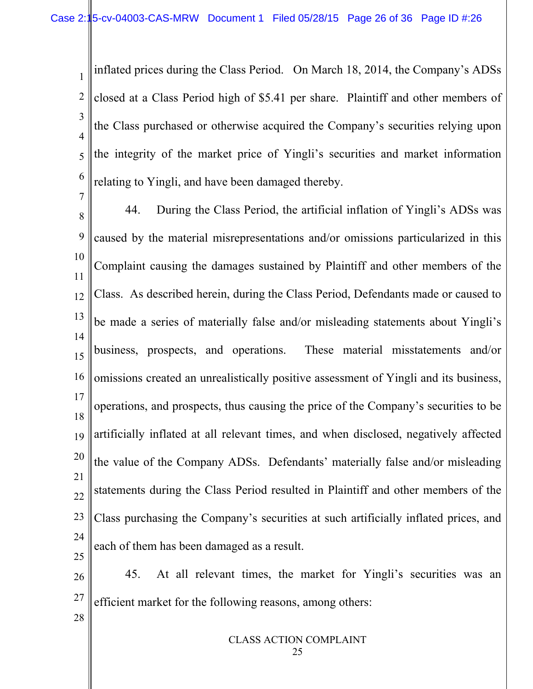1 2 3 4 5 6 inflated prices during the Class Period. On March 18, 2014, the Company's ADSs closed at a Class Period high of \$5.41 per share. Plaintiff and other members of the Class purchased or otherwise acquired the Company's securities relying upon the integrity of the market price of Yingli's securities and market information relating to Yingli, and have been damaged thereby.

7 8 9 10 11 12 13 14 15 16 17 18 19 20 21 22 23 24 25 44. During the Class Period, the artificial inflation of Yingli's ADSs was caused by the material misrepresentations and/or omissions particularized in this Complaint causing the damages sustained by Plaintiff and other members of the Class. As described herein, during the Class Period, Defendants made or caused to be made a series of materially false and/or misleading statements about Yingli's business, prospects, and operations. These material misstatements and/or omissions created an unrealistically positive assessment of Yingli and its business, operations, and prospects, thus causing the price of the Company's securities to be artificially inflated at all relevant times, and when disclosed, negatively affected the value of the Company ADSs. Defendants' materially false and/or misleading statements during the Class Period resulted in Plaintiff and other members of the Class purchasing the Company's securities at such artificially inflated prices, and each of them has been damaged as a result.

26 27 45. At all relevant times, the market for Yingli's securities was an efficient market for the following reasons, among others:

28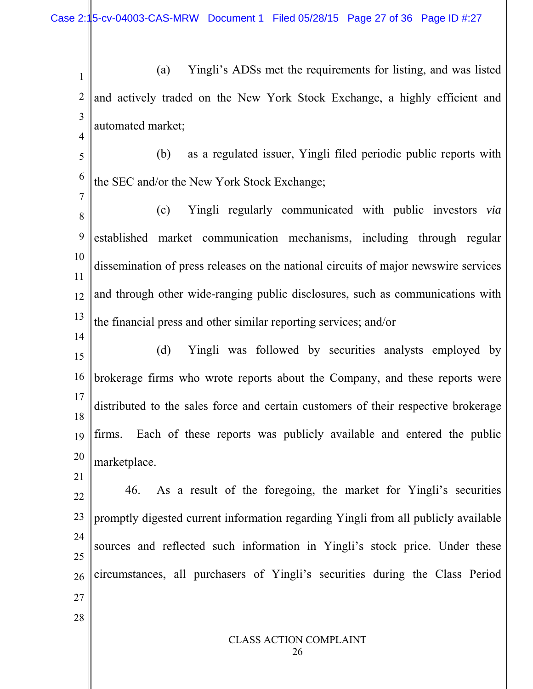Case 2:15-cv-04003-CAS-MRW Document 1 Filed 05/28/15 Page 27 of 36 Page ID #:27

1 2 3 4 (a) Yingli's ADSs met the requirements for listing, and was listed and actively traded on the New York Stock Exchange, a highly efficient and automated market;

5

6

7

 (b) as a regulated issuer, Yingli filed periodic public reports with the SEC and/or the New York Stock Exchange;

8 9 10 11 12 13 (c) Yingli regularly communicated with public investors *via* established market communication mechanisms, including through regular dissemination of press releases on the national circuits of major newswire services and through other wide-ranging public disclosures, such as communications with the financial press and other similar reporting services; and/or

14 15 16 17 18 19 20 (d) Yingli was followed by securities analysts employed by brokerage firms who wrote reports about the Company, and these reports were distributed to the sales force and certain customers of their respective brokerage firms. Each of these reports was publicly available and entered the public marketplace.

22 23 24 25 26 27 46. As a result of the foregoing, the market for Yingli's securities promptly digested current information regarding Yingli from all publicly available sources and reflected such information in Yingli's stock price. Under these circumstances, all purchasers of Yingli's securities during the Class Period

28

21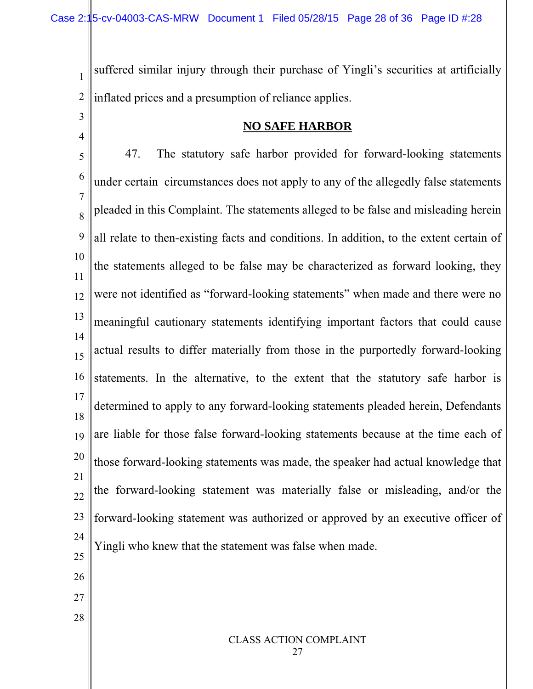1

3

4

28

2 suffered similar injury through their purchase of Yingli's securities at artificially inflated prices and a presumption of reliance applies.

### **NO SAFE HARBOR**

5 6 7 8 9 10 11 12 13 14 15 16 17 18 19 20 21 22 23 24 25 26 27 47. The statutory safe harbor provided for forward-looking statements under certain circumstances does not apply to any of the allegedly false statements pleaded in this Complaint. The statements alleged to be false and misleading herein all relate to then-existing facts and conditions. In addition, to the extent certain of the statements alleged to be false may be characterized as forward looking, they were not identified as "forward-looking statements" when made and there were no meaningful cautionary statements identifying important factors that could cause actual results to differ materially from those in the purportedly forward-looking statements. In the alternative, to the extent that the statutory safe harbor is determined to apply to any forward-looking statements pleaded herein, Defendants are liable for those false forward-looking statements because at the time each of those forward-looking statements was made, the speaker had actual knowledge that the forward-looking statement was materially false or misleading, and/or the forward-looking statement was authorized or approved by an executive officer of Yingli who knew that the statement was false when made.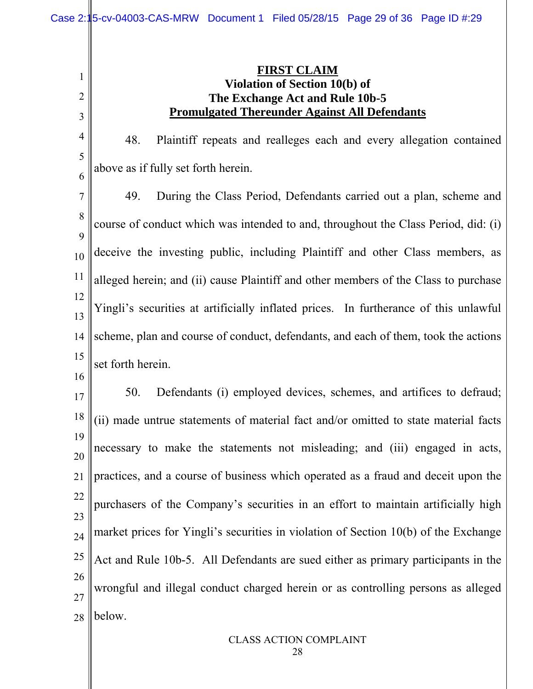## **FIRST CLAIM Violation of Section 10(b) of The Exchange Act and Rule 10b-5 Promulgated Thereunder Against All Defendants**

48. Plaintiff repeats and realleges each and every allegation contained above as if fully set forth herein.

7 8 9 10 11 12 13 14 15 49. During the Class Period, Defendants carried out a plan, scheme and course of conduct which was intended to and, throughout the Class Period, did: (i) deceive the investing public, including Plaintiff and other Class members, as alleged herein; and (ii) cause Plaintiff and other members of the Class to purchase Yingli's securities at artificially inflated prices. In furtherance of this unlawful scheme, plan and course of conduct, defendants, and each of them, took the actions set forth herein.

16

1

2

3

4

5

6

17 18 19 20 21 22 23 24 25 26 27 28 50. Defendants (i) employed devices, schemes, and artifices to defraud; (ii) made untrue statements of material fact and/or omitted to state material facts necessary to make the statements not misleading; and (iii) engaged in acts, practices, and a course of business which operated as a fraud and deceit upon the purchasers of the Company's securities in an effort to maintain artificially high market prices for Yingli's securities in violation of Section 10(b) of the Exchange Act and Rule 10b-5. All Defendants are sued either as primary participants in the wrongful and illegal conduct charged herein or as controlling persons as alleged below.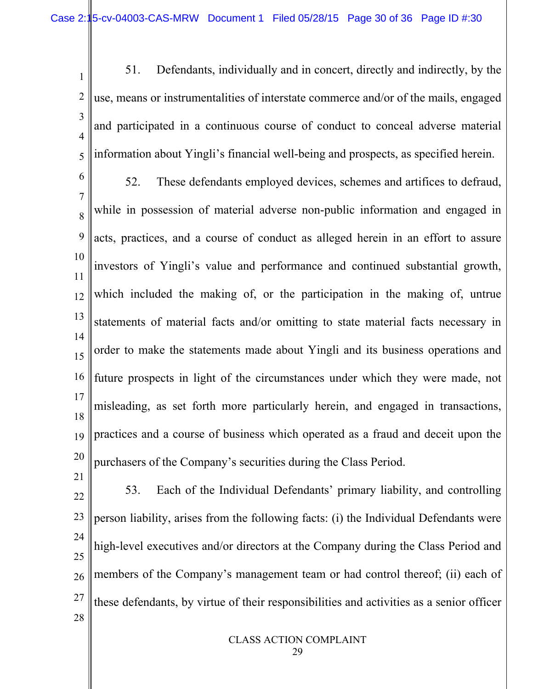1 2 3 4 5 51. Defendants, individually and in concert, directly and indirectly, by the use, means or instrumentalities of interstate commerce and/or of the mails, engaged and participated in a continuous course of conduct to conceal adverse material information about Yingli's financial well-being and prospects, as specified herein.

6 7 8 9 10 11 12 13 14 15 16 17 18 19 20 52. These defendants employed devices, schemes and artifices to defraud, while in possession of material adverse non-public information and engaged in acts, practices, and a course of conduct as alleged herein in an effort to assure investors of Yingli's value and performance and continued substantial growth, which included the making of, or the participation in the making of, untrue statements of material facts and/or omitting to state material facts necessary in order to make the statements made about Yingli and its business operations and future prospects in light of the circumstances under which they were made, not misleading, as set forth more particularly herein, and engaged in transactions, practices and a course of business which operated as a fraud and deceit upon the purchasers of the Company's securities during the Class Period.

22 23 24 25 26 27 28 53. Each of the Individual Defendants' primary liability, and controlling person liability, arises from the following facts: (i) the Individual Defendants were high-level executives and/or directors at the Company during the Class Period and members of the Company's management team or had control thereof; (ii) each of these defendants, by virtue of their responsibilities and activities as a senior officer

21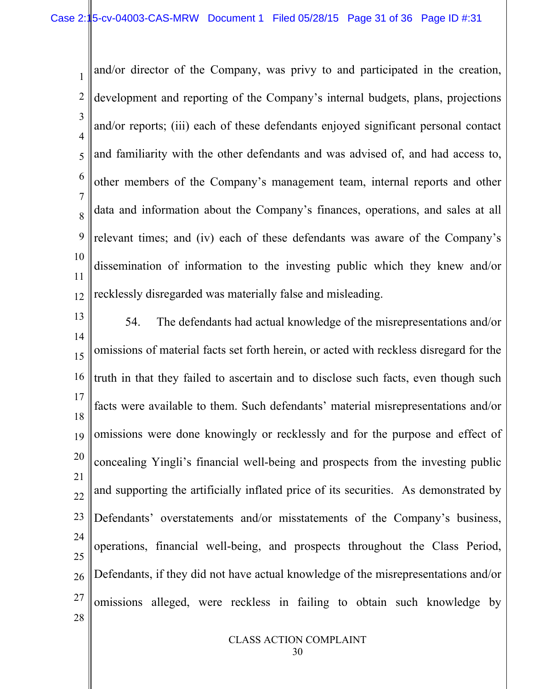1 2 3 4 5 6 7 8 9 10 11 12 and/or director of the Company, was privy to and participated in the creation, development and reporting of the Company's internal budgets, plans, projections and/or reports; (iii) each of these defendants enjoyed significant personal contact and familiarity with the other defendants and was advised of, and had access to, other members of the Company's management team, internal reports and other data and information about the Company's finances, operations, and sales at all relevant times; and (iv) each of these defendants was aware of the Company's dissemination of information to the investing public which they knew and/or recklessly disregarded was materially false and misleading.

13 14 15 16 17 18 19 20 21 22 23 24 25 26 27 28 54. The defendants had actual knowledge of the misrepresentations and/or omissions of material facts set forth herein, or acted with reckless disregard for the truth in that they failed to ascertain and to disclose such facts, even though such facts were available to them. Such defendants' material misrepresentations and/or omissions were done knowingly or recklessly and for the purpose and effect of concealing Yingli's financial well-being and prospects from the investing public and supporting the artificially inflated price of its securities. As demonstrated by Defendants' overstatements and/or misstatements of the Company's business, operations, financial well-being, and prospects throughout the Class Period, Defendants, if they did not have actual knowledge of the misrepresentations and/or omissions alleged, were reckless in failing to obtain such knowledge by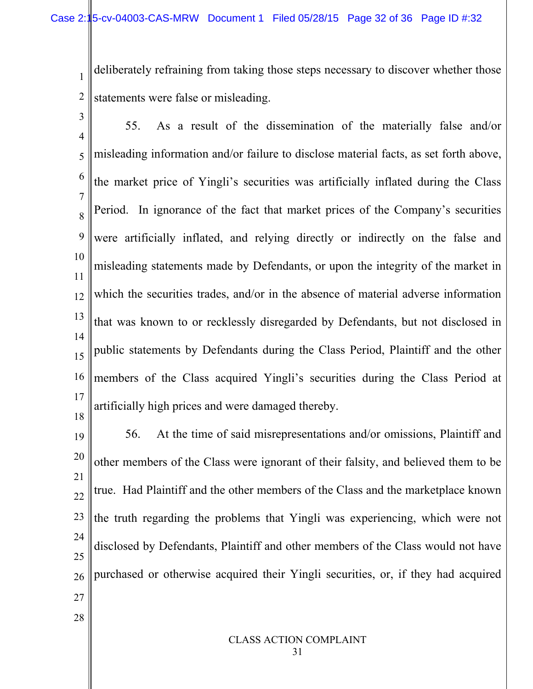1 2 deliberately refraining from taking those steps necessary to discover whether those statements were false or misleading.

3 4 5 6 7 8 9 10 11 12 13 14 15 16 17 18 55. As a result of the dissemination of the materially false and/or misleading information and/or failure to disclose material facts, as set forth above, the market price of Yingli's securities was artificially inflated during the Class Period. In ignorance of the fact that market prices of the Company's securities were artificially inflated, and relying directly or indirectly on the false and misleading statements made by Defendants, or upon the integrity of the market in which the securities trades, and/or in the absence of material adverse information that was known to or recklessly disregarded by Defendants, but not disclosed in public statements by Defendants during the Class Period, Plaintiff and the other members of the Class acquired Yingli's securities during the Class Period at artificially high prices and were damaged thereby.

19 20 21 22 23 24 25 26 27 56. At the time of said misrepresentations and/or omissions, Plaintiff and other members of the Class were ignorant of their falsity, and believed them to be true. Had Plaintiff and the other members of the Class and the marketplace known the truth regarding the problems that Yingli was experiencing, which were not disclosed by Defendants, Plaintiff and other members of the Class would not have purchased or otherwise acquired their Yingli securities, or, if they had acquired

28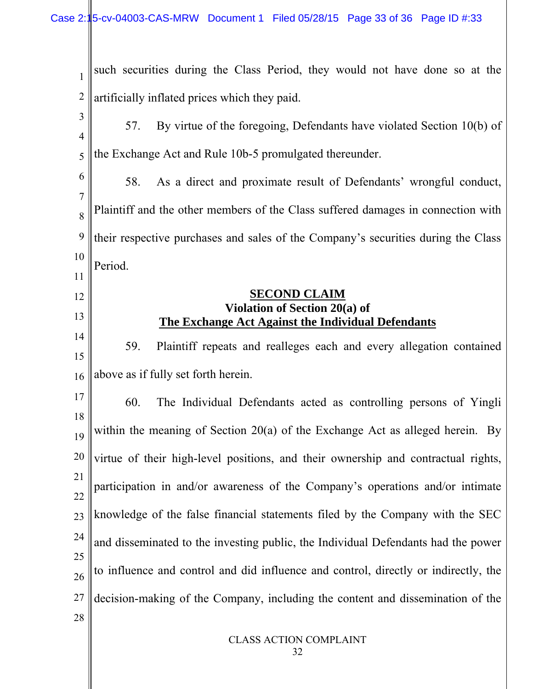CLASS ACTION COMPLAINT 1 2 3 4 5 6 7 8 9 10 11 12 13 14 15 16 17 18 19 20 21 22 23 24 25 26 27 28 such securities during the Class Period, they would not have done so at the artificially inflated prices which they paid. 57. By virtue of the foregoing, Defendants have violated Section 10(b) of the Exchange Act and Rule 10b-5 promulgated thereunder. 58. As a direct and proximate result of Defendants' wrongful conduct, Plaintiff and the other members of the Class suffered damages in connection with their respective purchases and sales of the Company's securities during the Class Period. **SECOND CLAIM Violation of Section 20(a) of The Exchange Act Against the Individual Defendants** 59. Plaintiff repeats and realleges each and every allegation contained above as if fully set forth herein. 60. The Individual Defendants acted as controlling persons of Yingli within the meaning of Section 20(a) of the Exchange Act as alleged herein. By virtue of their high-level positions, and their ownership and contractual rights, participation in and/or awareness of the Company's operations and/or intimate knowledge of the false financial statements filed by the Company with the SEC and disseminated to the investing public, the Individual Defendants had the power to influence and control and did influence and control, directly or indirectly, the decision-making of the Company, including the content and dissemination of the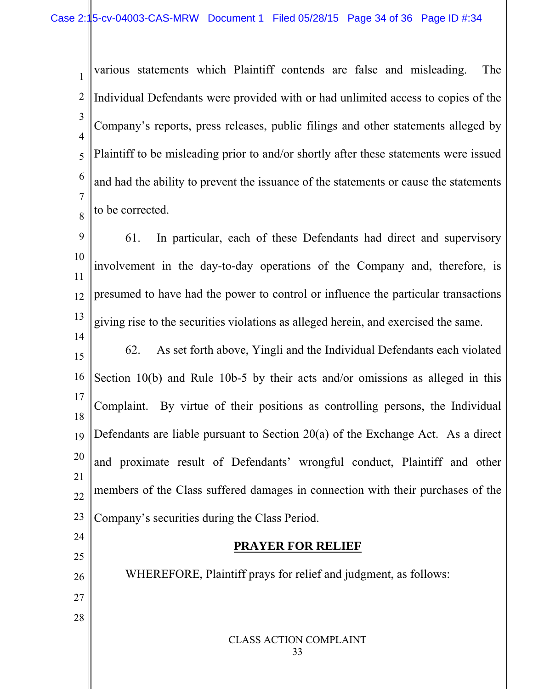1 2 3 4 5 6 7 8 various statements which Plaintiff contends are false and misleading. The Individual Defendants were provided with or had unlimited access to copies of the Company's reports, press releases, public filings and other statements alleged by Plaintiff to be misleading prior to and/or shortly after these statements were issued and had the ability to prevent the issuance of the statements or cause the statements to be corrected.

9 10 11 12 13 61. In particular, each of these Defendants had direct and supervisory involvement in the day-to-day operations of the Company and, therefore, is presumed to have had the power to control or influence the particular transactions giving rise to the securities violations as alleged herein, and exercised the same.

14 15 16 17 18 19 20 21 22 23 62. As set forth above, Yingli and the Individual Defendants each violated Section 10(b) and Rule 10b-5 by their acts and/or omissions as alleged in this Complaint. By virtue of their positions as controlling persons, the Individual Defendants are liable pursuant to Section 20(a) of the Exchange Act. As a direct and proximate result of Defendants' wrongful conduct, Plaintiff and other members of the Class suffered damages in connection with their purchases of the Company's securities during the Class Period.

# **PRAYER FOR RELIEF**

26 27 28 WHEREFORE, Plaintiff prays for relief and judgment, as follows:

24

25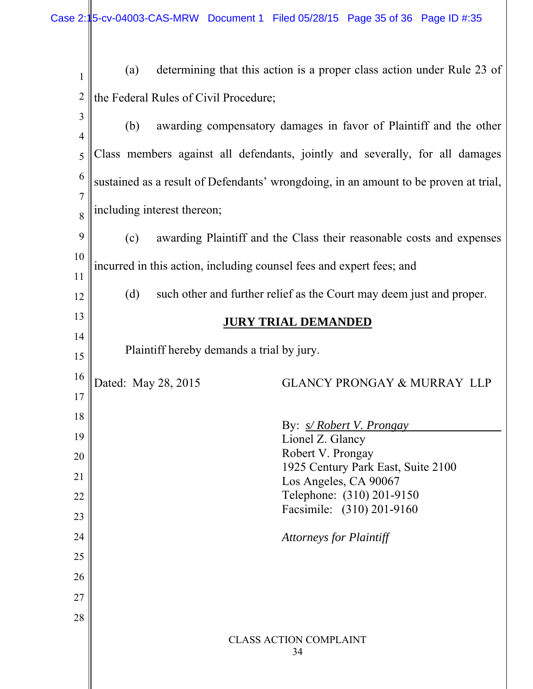Case 2:15-cv-04003-CAS-MRW Document 1 Filed 05/28/15 Page 35 of 36 Page ID #:35

| $\mathbf{1}$   | (a)                                                                                  | determining that this action is a proper class action under Rule 23 of |  |  |  |
|----------------|--------------------------------------------------------------------------------------|------------------------------------------------------------------------|--|--|--|
| $\overline{2}$ | the Federal Rules of Civil Procedure;                                                |                                                                        |  |  |  |
| 3              | awarding compensatory damages in favor of Plaintiff and the other<br>(b)             |                                                                        |  |  |  |
| 4              |                                                                                      |                                                                        |  |  |  |
| 5              | Class members against all defendants, jointly and severally, for all damages         |                                                                        |  |  |  |
| 6              | sustained as a result of Defendants' wrongdoing, in an amount to be proven at trial, |                                                                        |  |  |  |
| 7<br>8         | including interest thereon;                                                          |                                                                        |  |  |  |
| 9              | awarding Plaintiff and the Class their reasonable costs and expenses<br>(c)          |                                                                        |  |  |  |
| 10             | incurred in this action, including counsel fees and expert fees; and                 |                                                                        |  |  |  |
| 11             |                                                                                      |                                                                        |  |  |  |
| 12             | (d)                                                                                  | such other and further relief as the Court may deem just and proper.   |  |  |  |
| 13             |                                                                                      | <b>JURY TRIAL DEMANDED</b>                                             |  |  |  |
| 14<br>15       |                                                                                      | Plaintiff hereby demands a trial by jury.                              |  |  |  |
| 16             |                                                                                      |                                                                        |  |  |  |
| 17             | Dated: May 28, 2015                                                                  | <b>GLANCY PRONGAY &amp; MURRAY LLP</b>                                 |  |  |  |
| 18             |                                                                                      |                                                                        |  |  |  |
| 19             |                                                                                      | By: <i>s/Robert V. Prongay</i><br>Lionel Z. Glancy                     |  |  |  |
| 20             |                                                                                      | Robert V. Prongay                                                      |  |  |  |
| 21             |                                                                                      | 1925 Century Park East, Suite 2100<br>Los Angeles, CA 90067            |  |  |  |
| 22             |                                                                                      | Telephone: (310) 201-9150                                              |  |  |  |
| 23             |                                                                                      | Facsimile: (310) 201-9160                                              |  |  |  |
| 24             |                                                                                      | <b>Attorneys for Plaintiff</b>                                         |  |  |  |
| 25             |                                                                                      |                                                                        |  |  |  |
| 26             |                                                                                      |                                                                        |  |  |  |
| 27             |                                                                                      |                                                                        |  |  |  |
| 28             |                                                                                      |                                                                        |  |  |  |
|                |                                                                                      | <b>CLASS ACTION COMPLAINT</b><br>34                                    |  |  |  |